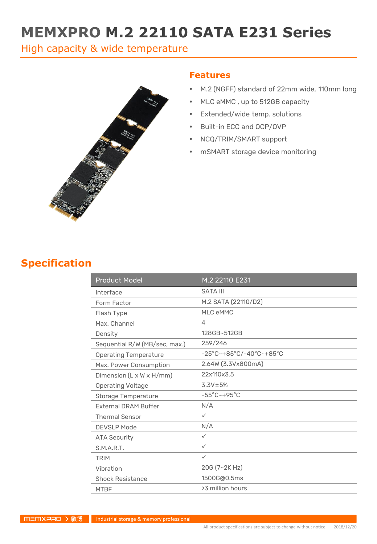# **MEMXPRO M.2 22110 SATA E231 Series**

High capacity & wide temperature



#### **Features**

- M.2 (NGFF) standard of 22mm wide, 110mm long
- MLC eMMC , up to 512GB capacity
- Extended/wide temp. solutions
- Built-in ECC and OCP/OVP
- NCQ/TRIM/SMART support
- mSMART storage device monitoring

### **Specification**

| <b>Product Model</b>          | M.2 22110 E231                                                     |
|-------------------------------|--------------------------------------------------------------------|
| Interface                     | <b>SATA III</b>                                                    |
| Form Factor                   | M.2 SATA (22110/D2)                                                |
| Flash Type                    | MLC eMMC                                                           |
| Max. Channel                  | 4                                                                  |
| Density                       | 128GB~512GB                                                        |
| Sequential R/W (MB/sec, max.) | 259/246                                                            |
| <b>Operating Temperature</b>  | $-25^{\circ}$ C~+85 $^{\circ}$ C/-40 $^{\circ}$ C~+85 $^{\circ}$ C |
| Max. Power Consumption        | 2.64W (3.3Vx800mA)                                                 |
| Dimension (L x W x H/mm)      | 22x110x3.5                                                         |
| <b>Operating Voltage</b>      | $3.3V \pm 5%$                                                      |
| Storage Temperature           | $-55^{\circ}$ C $-+95^{\circ}$ C                                   |
| <b>External DRAM Buffer</b>   | N/A                                                                |
| <b>Thermal Sensor</b>         | $\checkmark$                                                       |
| <b>DEVSLP Mode</b>            | N/A                                                                |
| <b>ATA Security</b>           | $\checkmark$                                                       |
| S.M.A.R.T.                    | $\checkmark$                                                       |
| <b>TRIM</b>                   | $\checkmark$                                                       |
| Vibration                     | 20G (7~2K Hz)                                                      |
| <b>Shock Resistance</b>       | 1500G@0.5ms                                                        |
| <b>MTBF</b>                   | >3 million hours                                                   |